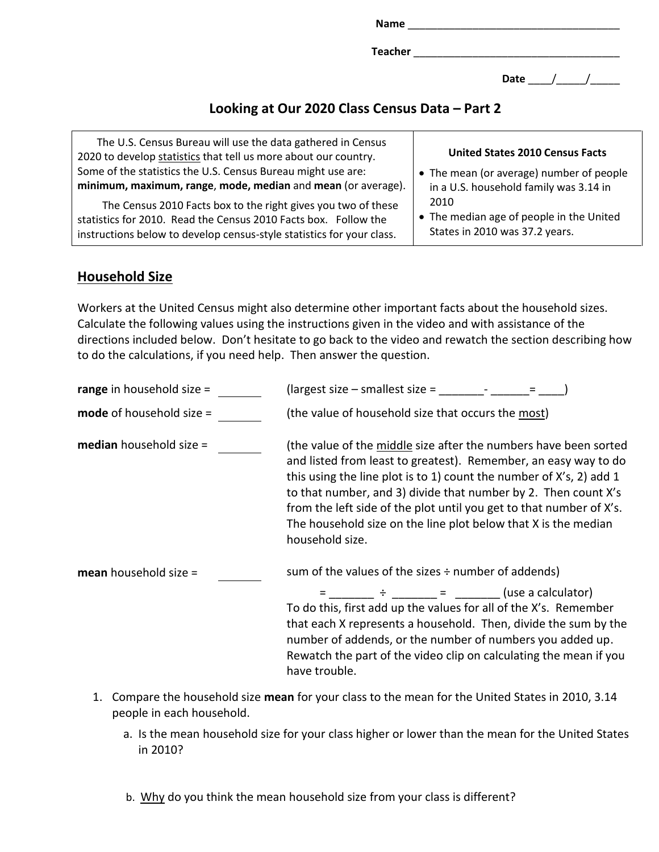**Name** \_\_\_\_\_\_\_\_\_\_\_\_\_\_\_\_\_\_\_\_\_\_\_\_\_\_\_\_\_\_\_\_\_\_\_\_ **Teacher** \_\_\_\_\_\_\_\_\_\_\_\_\_\_\_\_\_\_\_\_\_\_\_\_\_\_\_\_\_\_\_\_\_\_\_

Date / /

# **Looking at Our 2020 Class Census Data – Part 2**

| The U.S. Census Bureau will use the data gathered in Census<br>2020 to develop statistics that tell us more about our country. | <b>United States 2010 Census Facts</b>   |
|--------------------------------------------------------------------------------------------------------------------------------|------------------------------------------|
| Some of the statistics the U.S. Census Bureau might use are:                                                                   | • The mean (or average) number of people |
| minimum, maximum, range, mode, median and mean (or average).                                                                   | in a U.S. household family was 3.14 in   |
| The Census 2010 Facts box to the right gives you two of these                                                                  | 2010                                     |
| statistics for 2010. Read the Census 2010 Facts box. Follow the                                                                | • The median age of people in the United |
| instructions below to develop census-style statistics for your class.                                                          | States in 2010 was 37.2 years.           |

### **Household Size**

Workers at the United Census might also determine other important facts about the household sizes. Calculate the following values using the instructions given in the video and with assistance of the directions included below. Don't hesitate to go back to the video and rewatch the section describing how to do the calculations, if you need help. Then answer the question.

| range in household size $=$    | (largest size – smallest size =                                                                                                                                                                                                                                                                                                                                                                                                          |
|--------------------------------|------------------------------------------------------------------------------------------------------------------------------------------------------------------------------------------------------------------------------------------------------------------------------------------------------------------------------------------------------------------------------------------------------------------------------------------|
| mode of household size =       | (the value of household size that occurs the most)                                                                                                                                                                                                                                                                                                                                                                                       |
| <b>median</b> household size = | (the value of the middle size after the numbers have been sorted<br>and listed from least to greatest). Remember, an easy way to do<br>this using the line plot is to 1) count the number of X's, 2) add 1<br>to that number, and 3) divide that number by 2. Then count X's<br>from the left side of the plot until you get to that number of X's.<br>The household size on the line plot below that X is the median<br>household size. |
| mean household size =          | sum of the values of the sizes $\div$ number of addends)                                                                                                                                                                                                                                                                                                                                                                                 |
|                                | $\div$ = (use a calculator)<br>To do this, first add up the values for all of the X's. Remember<br>that each X represents a household. Then, divide the sum by the<br>number of addends, or the number of numbers you added up.<br>Rewatch the part of the video clip on calculating the mean if you<br>have trouble.                                                                                                                    |

- 1. Compare the household size **mean** for your class to the mean for the United States in 2010, 3.14 people in each household.
	- a. Is the mean household size for your class higher or lower than the mean for the United States in 2010?

b. Why do you think the mean household size from your class is different?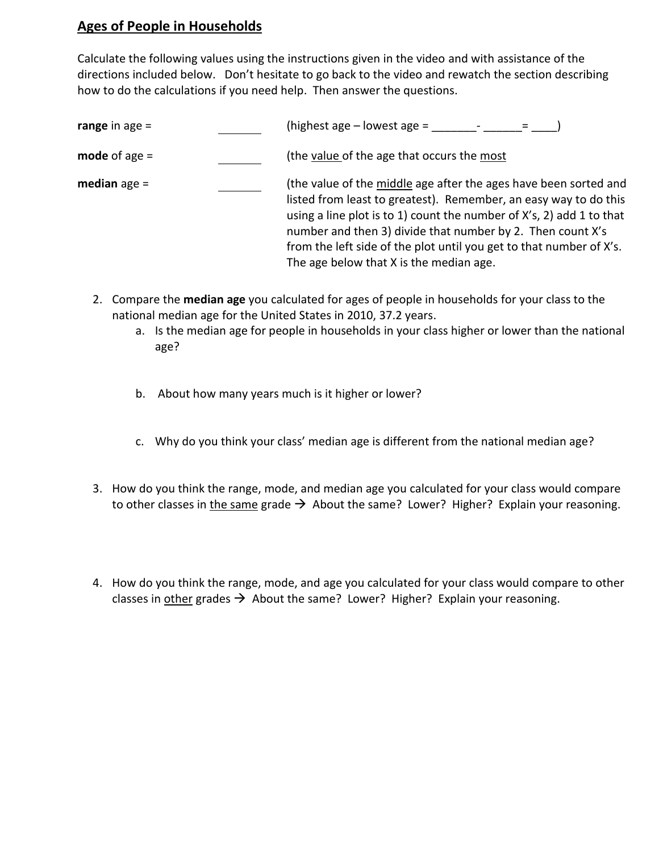## **Ages of People in Households**

Calculate the following values using the instructions given in the video and with assistance of the directions included below. Don't hesitate to go back to the video and rewatch the section describing how to do the calculations if you need help. Then answer the questions.

| range in age =  | (highest age $-$ lowest age $=$                                                                                                                                                                                                                                                                                                                                                              |
|-----------------|----------------------------------------------------------------------------------------------------------------------------------------------------------------------------------------------------------------------------------------------------------------------------------------------------------------------------------------------------------------------------------------------|
| mode of age $=$ | (the value of the age that occurs the most                                                                                                                                                                                                                                                                                                                                                   |
| median age =    | (the value of the middle age after the ages have been sorted and<br>listed from least to greatest). Remember, an easy way to do this<br>using a line plot is to 1) count the number of X's, 2) add 1 to that<br>number and then 3) divide that number by 2. Then count X's<br>from the left side of the plot until you get to that number of X's.<br>The age below that X is the median age. |

- 2. Compare the **median age** you calculated for ages of people in households for your class to the national median age for the United States in 2010, 37.2 years.
	- a. Is the median age for people in households in your class higher or lower than the national age?
	- b. About how many years much is it higher or lower?
	- c. Why do you think your class' median age is different from the national median age?
- 3. How do you think the range, mode, and median age you calculated for your class would compare to other classes in the same grade  $\rightarrow$  About the same? Lower? Higher? Explain your reasoning.
- 4. How do you think the range, mode, and age you calculated for your class would compare to other classes in other grades  $\rightarrow$  About the same? Lower? Higher? Explain your reasoning.